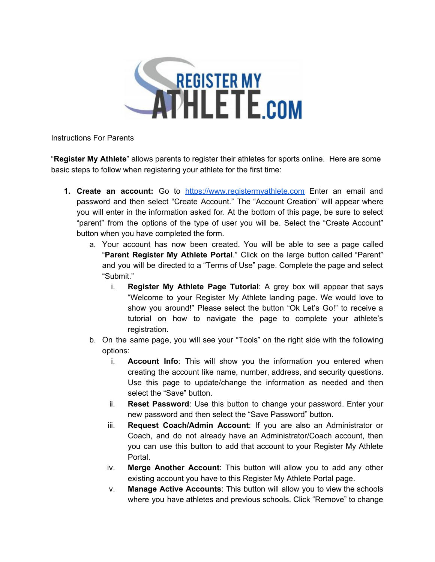

Instructions For Parents

"**Register My Athlete**" allows parents to register their athletes for sports online. Here are some basic steps to follow when registering your athlete for the first time:

- **1. Create an account:** Go to [https://www.registermyathlete.com](https://www.registermyathlete.com/) Enter an email and password and then select "Create Account." The "Account Creation" will appear where you will enter in the information asked for. At the bottom of this page, be sure to select "parent" from the options of the type of user you will be. Select the "Create Account" button when you have completed the form.
	- a. Your account has now been created. You will be able to see a page called "**Parent Register My Athlete Portal**." Click on the large button called "Parent" and you will be directed to a "Terms of Use" page. Complete the page and select "Submit."
		- i. **Register My Athlete Page Tutorial**: A grey box will appear that says "Welcome to your Register My Athlete landing page. We would love to show you around!" Please select the button "Ok Let's Go!" to receive a tutorial on how to navigate the page to complete your athlete's registration.
	- b. On the same page, you will see your "Tools" on the right side with the following options:
		- i. **Account Info**: This will show you the information you entered when creating the account like name, number, address, and security questions. Use this page to update/change the information as needed and then select the "Save" button.
		- ii. **Reset Password**: Use this button to change your password. Enter your new password and then select the "Save Password" button.
		- iii. **Request Coach/Admin Account**: If you are also an Administrator or Coach, and do not already have an Administrator/Coach account, then you can use this button to add that account to your Register My Athlete Portal.
		- iv. **Merge Another Account**: This button will allow you to add any other existing account you have to this Register My Athlete Portal page.
		- v. **Manage Active Accounts**: This button will allow you to view the schools where you have athletes and previous schools. Click "Remove" to change